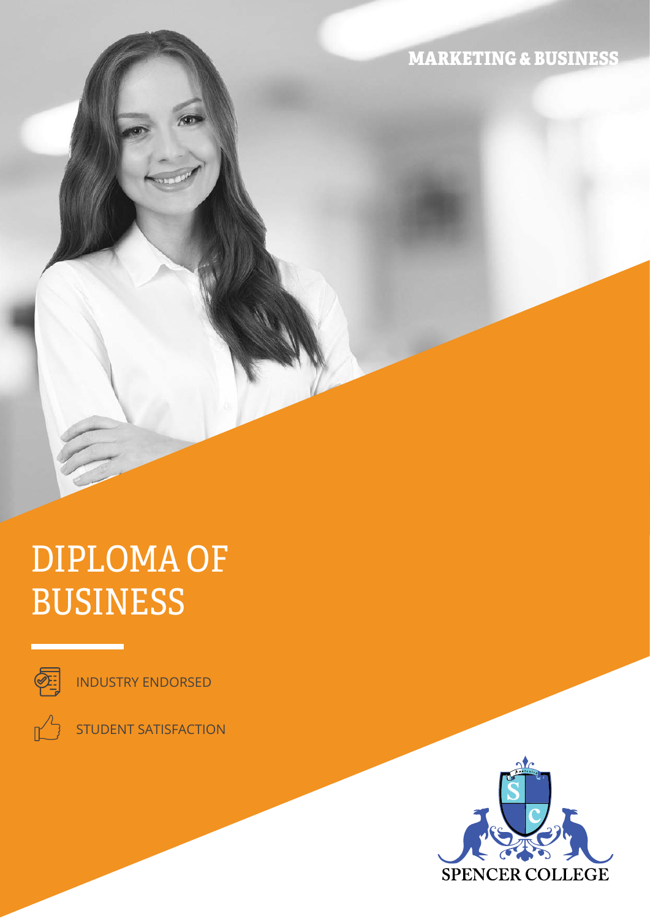MARKETING & BUSINESS

# DIPLOMA OF BUSINESS



INDUSTRY ENDORSED



STUDENT SATISFACTION